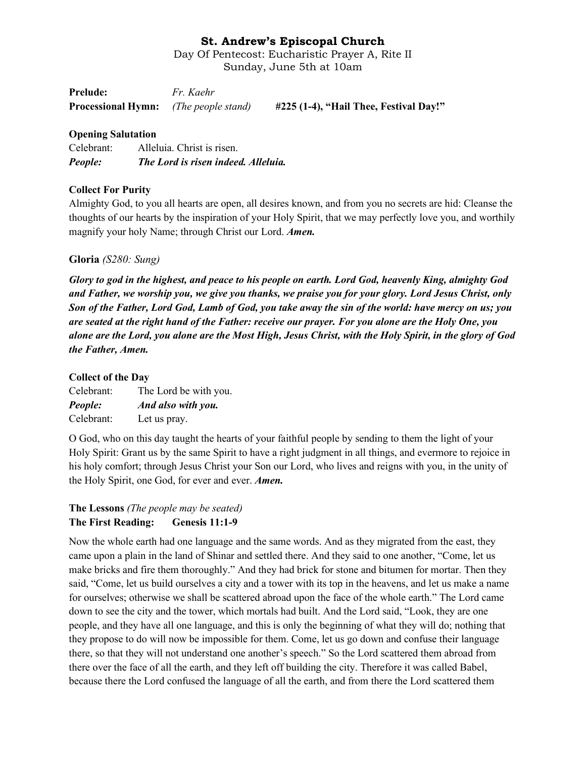Day Of Pentecost: Eucharistic Prayer A, Rite II Sunday, June 5th at 10am

**Prelude:** *Fr. Kaehr* **Processional Hymn:** *(The people stand)* **#225 (1-4), "Hail Thee, Festival Day!"**

#### **Opening Salutation**

#### **Collect For Purity**

Almighty God, to you all hearts are open, all desires known, and from you no secrets are hid: Cleanse the thoughts of our hearts by the inspiration of your Holy Spirit, that we may perfectly love you, and worthily magnify your holy Name; through Christ our Lord. *Amen.*

### **Gloria** *(S280: Sung)*

*Glory to god in the highest, and peace to his people on earth. Lord God, heavenly King, almighty God and Father, we worship you, we give you thanks, we praise you for your glory. Lord Jesus Christ, only Son of the Father, Lord God, Lamb of God, you take away the sin of the world: have mercy on us; you are seated at the right hand of the Father: receive our prayer. For you alone are the Holy One, you alone are the Lord, you alone are the Most High, Jesus Christ, with the Holy Spirit, in the glory of God the Father, Amen.*

### **Collect of the Day**

| Celebrant: | The Lord be with you. |
|------------|-----------------------|
| People:    | And also with you.    |
| Celebrant: | Let us pray.          |

O God, who on this day taught the hearts of your faithful people by sending to them the light of your Holy Spirit: Grant us by the same Spirit to have a right judgment in all things, and evermore to rejoice in his holy comfort; through Jesus Christ your Son our Lord, who lives and reigns with you, in the unity of the Holy Spirit, one God, for ever and ever. *Amen.*

## **The Lessons** *(The people may be seated)* **The First Reading: Genesis 11:1-9**

Now the whole earth had one language and the same words. And as they migrated from the east, they came upon a plain in the land of Shinar and settled there. And they said to one another, "Come, let us make bricks and fire them thoroughly." And they had brick for stone and bitumen for mortar. Then they said, "Come, let us build ourselves a city and a tower with its top in the heavens, and let us make a name for ourselves; otherwise we shall be scattered abroad upon the face of the whole earth." The Lord came down to see the city and the tower, which mortals had built. And the Lord said, "Look, they are one people, and they have all one language, and this is only the beginning of what they will do; nothing that they propose to do will now be impossible for them. Come, let us go down and confuse their language there, so that they will not understand one another's speech." So the Lord scattered them abroad from there over the face of all the earth, and they left off building the city. Therefore it was called Babel, because there the Lord confused the language of all the earth, and from there the Lord scattered them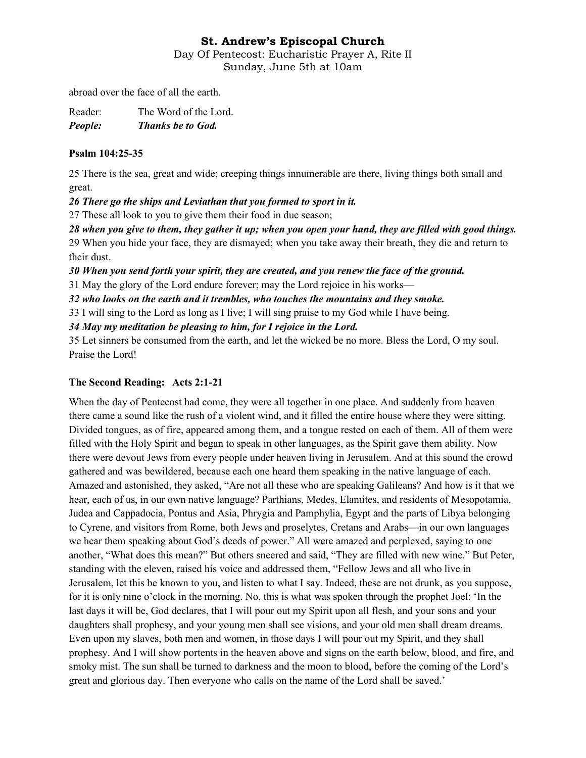Day Of Pentecost: Eucharistic Prayer A, Rite II Sunday, June 5th at 10am

abroad over the face of all the earth.

Reader: The Word of the Lord. *People: Thanks be to God.*

#### **Psalm 104:25-35**

25 There is the sea, great and wide; creeping things innumerable are there, living things both small and great.

*26 There go the ships and Leviathan that you formed to sport in it.*

27 These all look to you to give them their food in due season;

*28 when you give to them, they gather it up; when you open your hand, they are filled with good things.* 29 When you hide your face, they are dismayed; when you take away their breath, they die and return to their dust.

*30 When you send forth your spirit, they are created, and you renew the face of the ground.*

31 May the glory of the Lord endure forever; may the Lord rejoice in his works—

*32 who looks on the earth and it trembles, who touches the mountains and they smoke.*

33 I will sing to the Lord as long as I live; I will sing praise to my God while I have being.

*34 May my meditation be pleasing to him, for I rejoice in the Lord.*

35 Let sinners be consumed from the earth, and let the wicked be no more. Bless the Lord, O my soul. Praise the Lord!

#### **The Second Reading: Acts 2:1-21**

When the day of Pentecost had come, they were all together in one place. And suddenly from heaven there came a sound like the rush of a violent wind, and it filled the entire house where they were sitting. Divided tongues, as of fire, appeared among them, and a tongue rested on each of them. All of them were filled with the Holy Spirit and began to speak in other languages, as the Spirit gave them ability. Now there were devout Jews from every people under heaven living in Jerusalem. And at this sound the crowd gathered and was bewildered, because each one heard them speaking in the native language of each. Amazed and astonished, they asked, "Are not all these who are speaking Galileans? And how is it that we hear, each of us, in our own native language? Parthians, Medes, Elamites, and residents of Mesopotamia, Judea and Cappadocia, Pontus and Asia, Phrygia and Pamphylia, Egypt and the parts of Libya belonging to Cyrene, and visitors from Rome, both Jews and proselytes, Cretans and Arabs—in our own languages we hear them speaking about God's deeds of power." All were amazed and perplexed, saying to one another, "What does this mean?" But others sneered and said, "They are filled with new wine." But Peter, standing with the eleven, raised his voice and addressed them, "Fellow Jews and all who live in Jerusalem, let this be known to you, and listen to what I say. Indeed, these are not drunk, as you suppose, for it is only nine o'clock in the morning. No, this is what was spoken through the prophet Joel: 'In the last days it will be, God declares, that I will pour out my Spirit upon all flesh, and your sons and your daughters shall prophesy, and your young men shall see visions, and your old men shall dream dreams. Even upon my slaves, both men and women, in those days I will pour out my Spirit, and they shall prophesy. And I will show portents in the heaven above and signs on the earth below, blood, and fire, and smoky mist. The sun shall be turned to darkness and the moon to blood, before the coming of the Lord's great and glorious day. Then everyone who calls on the name of the Lord shall be saved.'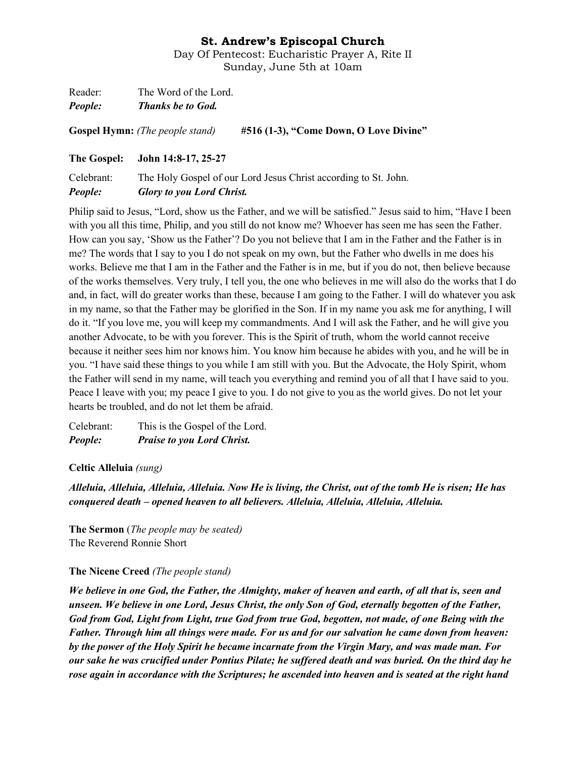Day Of Pentecost: Eucharistic Prayer A, Rite II Sunday, June 5th at 10am

| Reader: | The Word of the Lord.    |
|---------|--------------------------|
| People: | <b>Thanks be to God.</b> |

**Gospel Hymn:** *(The people stand)* **#516 (1-3), "Come Down, O Love Divine"**

**The Gospel: John 14:8-17, 25-27**

Celebrant: The Holy Gospel of our Lord Jesus Christ according to St. John. *People: Glory to you Lord Christ.*

Philip said to Jesus, "Lord, show us the Father, and we will be satisfied." Jesus said to him, "Have I been with you all this time, Philip, and you still do not know me? Whoever has seen me has seen the Father. How can you say, 'Show us the Father'? Do you not believe that I am in the Father and the Father is in me? The words that I say to you I do not speak on my own, but the Father who dwells in me does his works. Believe me that I am in the Father and the Father is in me, but if you do not, then believe because of the works themselves. Very truly, I tell you, the one who believes in me will also do the works that I do and, in fact, will do greater works than these, because I am going to the Father. I will do whatever you ask in my name, so that the Father may be glorified in the Son. If in my name you ask me for anything, I will do it. "If you love me, you will keep my commandments. And I will ask the Father, and he will give you another Advocate, to be with you forever. This is the Spirit of truth, whom the world cannot receive because it neither sees him nor knows him. You know him because he abides with you, and he will be in you. "I have said these things to you while I am still with you. But the Advocate, the Holy Spirit, whom the Father will send in my name, will teach you everything and remind you of all that I have said to you. Peace I leave with you; my peace I give to you. I do not give to you as the world gives. Do not let your hearts be troubled, and do not let them be afraid.

Celebrant: This is the Gospel of the Lord. *People: Praise to you Lord Christ.*

**Celtic Alleluia** *(sung)*

*Alleluia, Alleluia, Alleluia, Alleluia. Now He is living, the Christ, out of the tomb He is risen; He has conquered death – opened heaven to all believers. Alleluia, Alleluia, Alleluia, Alleluia.*

**The Sermon** (*The people may be seated)* The Reverend Ronnie Short

#### **The Nicene Creed** *(The people stand)*

*We believe in one God, the Father, the Almighty, maker of heaven and earth, of all that is, seen and unseen. We believe in one Lord, Jesus Christ, the only Son of God, eternally begotten of the Father, God from God, Light from Light, true God from true God, begotten, not made, of one Being with the Father. Through him all things were made. For us and for our salvation he came down from heaven: by the power of the Holy Spirit he became incarnate from the Virgin Mary, and was made man. For our sake he was crucified under Pontius Pilate; he suffered death and was buried. On the third day he rose again in accordance with the Scriptures; he ascended into heaven and is seated at the right hand*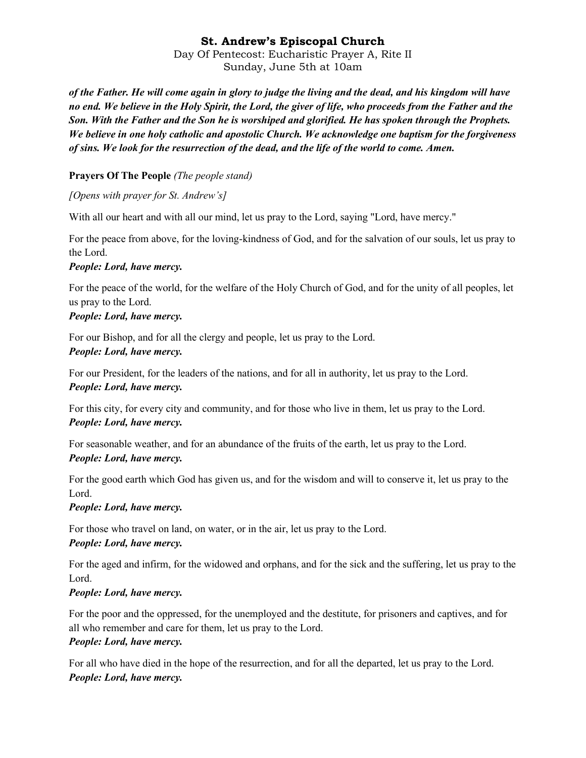Day Of Pentecost: Eucharistic Prayer A, Rite II Sunday, June 5th at 10am

*of the Father. He will come again in glory to judge the living and the dead, and his kingdom will have no end. We believe in the Holy Spirit, the Lord, the giver of life, who proceeds from the Father and the Son. With the Father and the Son he is worshiped and glorified. He has spoken through the Prophets. We believe in one holy catholic and apostolic Church. We acknowledge one baptism for the forgiveness of sins. We look for the resurrection of the dead, and the life of the world to come. Amen.*

## **Prayers Of The People** *(The people stand)*

## *[Opens with prayer for St. Andrew's]*

With all our heart and with all our mind, let us pray to the Lord, saying "Lord, have mercy."

For the peace from above, for the loving-kindness of God, and for the salvation of our souls, let us pray to the Lord.

## *People: Lord, have mercy.*

For the peace of the world, for the welfare of the Holy Church of God, and for the unity of all peoples, let us pray to the Lord.

## *People: Lord, have mercy.*

For our Bishop, and for all the clergy and people, let us pray to the Lord. *People: Lord, have mercy.*

For our President, for the leaders of the nations, and for all in authority, let us pray to the Lord. *People: Lord, have mercy.*

For this city, for every city and community, and for those who live in them, let us pray to the Lord. *People: Lord, have mercy.*

For seasonable weather, and for an abundance of the fruits of the earth, let us pray to the Lord. *People: Lord, have mercy.*

For the good earth which God has given us, and for the wisdom and will to conserve it, let us pray to the Lord.

## *People: Lord, have mercy.*

For those who travel on land, on water, or in the air, let us pray to the Lord. *People: Lord, have mercy.*

For the aged and infirm, for the widowed and orphans, and for the sick and the suffering, let us pray to the Lord.

## *People: Lord, have mercy.*

For the poor and the oppressed, for the unemployed and the destitute, for prisoners and captives, and for all who remember and care for them, let us pray to the Lord.

## *People: Lord, have mercy.*

For all who have died in the hope of the resurrection, and for all the departed, let us pray to the Lord. *People: Lord, have mercy.*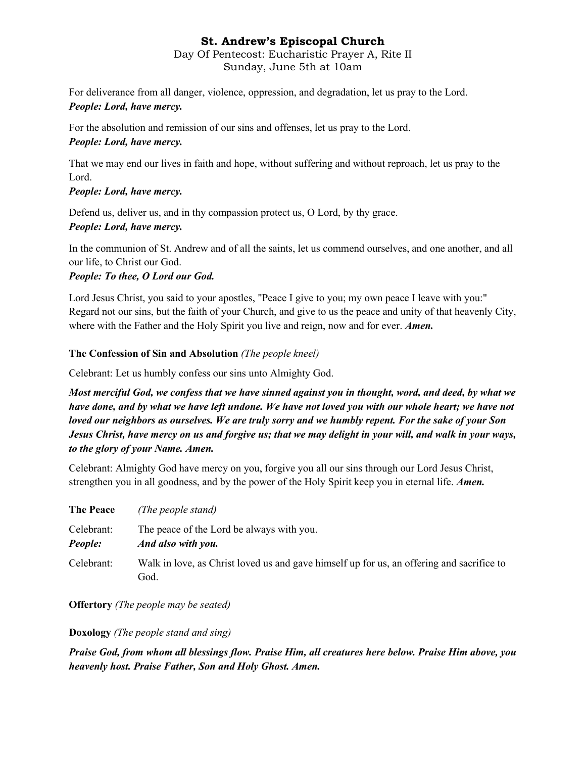Day Of Pentecost: Eucharistic Prayer A, Rite II Sunday, June 5th at 10am

For deliverance from all danger, violence, oppression, and degradation, let us pray to the Lord. *People: Lord, have mercy.*

For the absolution and remission of our sins and offenses, let us pray to the Lord. *People: Lord, have mercy.*

That we may end our lives in faith and hope, without suffering and without reproach, let us pray to the Lord.

### *People: Lord, have mercy.*

Defend us, deliver us, and in thy compassion protect us, O Lord, by thy grace.

## *People: Lord, have mercy.*

In the communion of St. Andrew and of all the saints, let us commend ourselves, and one another, and all our life, to Christ our God.

## *People: To thee, O Lord our God.*

Lord Jesus Christ, you said to your apostles, "Peace I give to you; my own peace I leave with you:" Regard not our sins, but the faith of your Church, and give to us the peace and unity of that heavenly City, where with the Father and the Holy Spirit you live and reign, now and for ever. *Amen.*

## **The Confession of Sin and Absolution** *(The people kneel)*

Celebrant: Let us humbly confess our sins unto Almighty God.

*Most merciful God, we confess that we have sinned against you in thought, word, and deed, by what we have done, and by what we have left undone. We have not loved you with our whole heart; we have not loved our neighbors as ourselves. We are truly sorry and we humbly repent. For the sake of your Son Jesus Christ, have mercy on us and forgive us; that we may delight in your will, and walk in your ways, to the glory of your Name. Amen.*

Celebrant: Almighty God have mercy on you, forgive you all our sins through our Lord Jesus Christ, strengthen you in all goodness, and by the power of the Holy Spirit keep you in eternal life. *Amen.*

| <b>The Peace</b>      | (The people stand)                                                                                |
|-----------------------|---------------------------------------------------------------------------------------------------|
| Celebrant:<br>People: | The peace of the Lord be always with you.<br>And also with you.                                   |
| Celebrant:            | Walk in love, as Christ loved us and gave himself up for us, an offering and sacrifice to<br>God. |

**Offertory** *(The people may be seated)*

## **Doxology** *(The people stand and sing)*

*Praise God, from whom all blessings flow. Praise Him, all creatures here below. Praise Him above, you heavenly host. Praise Father, Son and Holy Ghost. Amen.*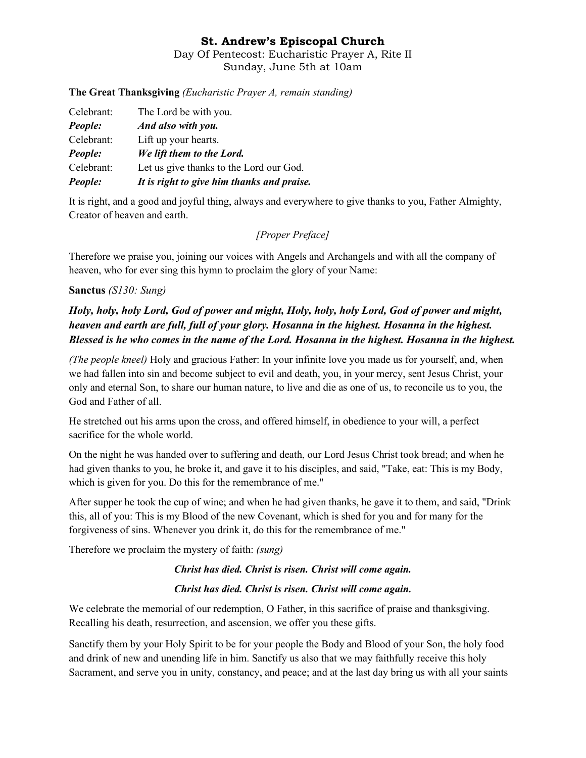Day Of Pentecost: Eucharistic Prayer A, Rite II Sunday, June 5th at 10am

**The Great Thanksgiving** *(Eucharistic Prayer A, remain standing)*

| Celebrant: | The Lord be with you.                      |
|------------|--------------------------------------------|
| People:    | And also with you.                         |
| Celebrant: | Lift up your hearts.                       |
| People:    | We lift them to the Lord.                  |
| Celebrant: | Let us give thanks to the Lord our God.    |
| People:    | It is right to give him thanks and praise. |

It is right, and a good and joyful thing, always and everywhere to give thanks to you, Father Almighty, Creator of heaven and earth.

## *[Proper Preface]*

Therefore we praise you, joining our voices with Angels and Archangels and with all the company of heaven, who for ever sing this hymn to proclaim the glory of your Name:

### **Sanctus** *(S130: Sung)*

# *Holy, holy, holy Lord, God of power and might, Holy, holy, holy Lord, God of power and might, heaven and earth are full, full of your glory. Hosanna in the highest. Hosanna in the highest. Blessed is he who comes in the name of the Lord. Hosanna in the highest. Hosanna in the highest.*

*(The people kneel)* Holy and gracious Father: In your infinite love you made us for yourself, and, when we had fallen into sin and become subject to evil and death, you, in your mercy, sent Jesus Christ, your only and eternal Son, to share our human nature, to live and die as one of us, to reconcile us to you, the God and Father of all.

He stretched out his arms upon the cross, and offered himself, in obedience to your will, a perfect sacrifice for the whole world.

On the night he was handed over to suffering and death, our Lord Jesus Christ took bread; and when he had given thanks to you, he broke it, and gave it to his disciples, and said, "Take, eat: This is my Body, which is given for you. Do this for the remembrance of me."

After supper he took the cup of wine; and when he had given thanks, he gave it to them, and said, "Drink this, all of you: This is my Blood of the new Covenant, which is shed for you and for many for the forgiveness of sins. Whenever you drink it, do this for the remembrance of me."

Therefore we proclaim the mystery of faith: *(sung)*

#### *Christ has died. Christ is risen. Christ will come again.*

#### *Christ has died. Christ is risen. Christ will come again.*

We celebrate the memorial of our redemption, O Father, in this sacrifice of praise and thanksgiving. Recalling his death, resurrection, and ascension, we offer you these gifts.

Sanctify them by your Holy Spirit to be for your people the Body and Blood of your Son, the holy food and drink of new and unending life in him. Sanctify us also that we may faithfully receive this holy Sacrament, and serve you in unity, constancy, and peace; and at the last day bring us with all your saints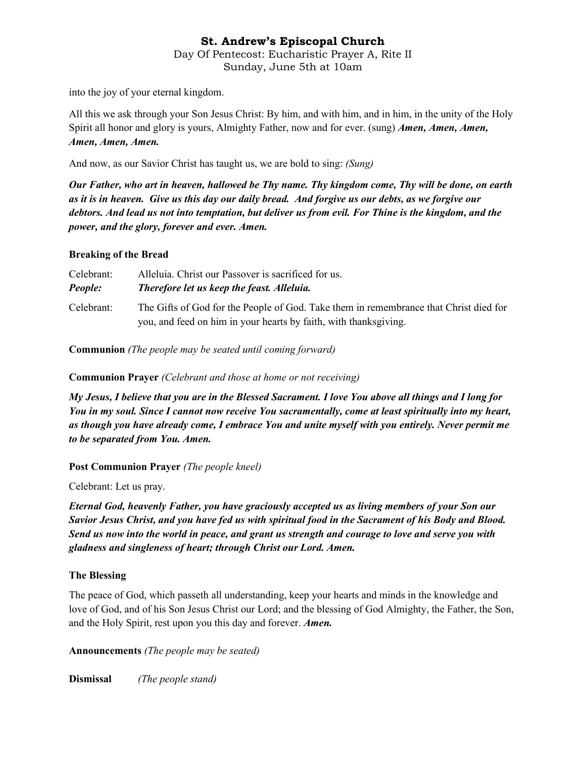Day Of Pentecost: Eucharistic Prayer A, Rite II Sunday, June 5th at 10am

into the joy of your eternal kingdom.

All this we ask through your Son Jesus Christ: By him, and with him, and in him, in the unity of the Holy Spirit all honor and glory is yours, Almighty Father, now and for ever. (sung) *Amen, Amen, Amen, Amen, Amen, Amen.*

And now, as our Savior Christ has taught us, we are bold to sing: *(Sung)*

*Our Father, who art in heaven, hallowed be Thy name. Thy kingdom come, Thy will be done, on earth as it is in heaven. Give us this day our daily bread. And forgive us our debts, as we forgive our debtors. And lead us not into temptation, but deliver us from evil. For Thine is the kingdom, and the power, and the glory, forever and ever. Amen.*

### **Breaking of the Bread**

| Celebrant: | Alleluia. Christ our Passover is sacrificed for us.                                                                                                       |
|------------|-----------------------------------------------------------------------------------------------------------------------------------------------------------|
| People:    | Therefore let us keep the feast. Alleluia.                                                                                                                |
| Celebrant: | The Gifts of God for the People of God. Take them in remembrance that Christ died for<br>you, and feed on him in your hearts by faith, with thanksgiving. |

**Communion** *(The people may be seated until coming forward)*

**Communion Prayer** *(Celebrant and those at home or not receiving)*

*My Jesus, I believe that you are in the Blessed Sacrament. I love You above all things and I long for You in my soul. Since I cannot now receive You sacramentally, come at least spiritually into my heart, as though you have already come, I embrace You and unite myself with you entirely. Never permit me to be separated from You. Amen.*

**Post Communion Prayer** *(The people kneel)*

Celebrant: Let us pray.

*Eternal God, heavenly Father, you have graciously accepted us as living members of your Son our Savior Jesus Christ, and you have fed us with spiritual food in the Sacrament of his Body and Blood. Send us now into the world in peace, and grant us strength and courage to love and serve you with gladness and singleness of heart; through Christ our Lord. Amen.*

## **The Blessing**

The peace of God, which passeth all understanding, keep your hearts and minds in the knowledge and love of God, and of his Son Jesus Christ our Lord; and the blessing of God Almighty, the Father, the Son, and the Holy Spirit, rest upon you this day and forever. *Amen.*

**Announcements** *(The people may be seated)*

**Dismissal** *(The people stand)*